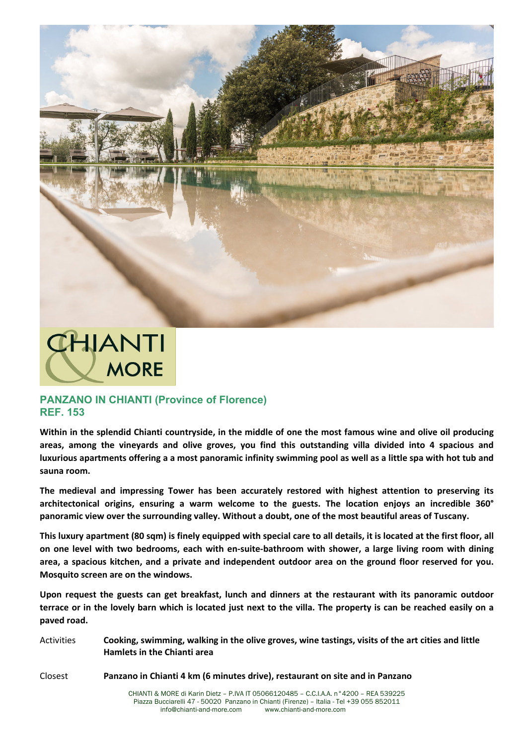

## **CHIANTI MORE**

## **PANZANO IN CHIANTI (Province of Florence) REF. 153**

**Within in the splendid Chianti countryside, in the middle of one the most famous wine and olive oil producing areas, among the vineyards and olive groves, you find this outstanding villa divided into 4 spacious and luxurious apartments offering a a most panoramic infinity swimming pool as well as a little spa with hot tub and sauna room.**

**The medieval and impressing Tower has been accurately restored with highest attention to preserving its architectonical origins, ensuring a warm welcome to the guests. The location enjoys an incredible 360° panoramic view over the surrounding valley. Without a doubt, one of the most beautiful areas of Tuscany.** 

**This luxury apartment (80 sqm) is finely equipped with special care to all details, it is located at the first floor, all on one level with two bedrooms, each with en-suite-bathroom with shower, a large living room with dining area, a spacious kitchen, and a private and independent outdoor area on the ground floor reserved for you. Mosquito screen are on the windows.**

**Upon request the guests can get breakfast, lunch and dinners at the restaurant with its panoramic outdoor terrace or in the lovely barn which is located just next to the villa. The property is can be reached easily on a paved road.** 

Activities **Cooking, swimming, walking in the olive groves, wine tastings, visits of the art cities and little Hamlets in the Chianti area**

Closest **Panzano in Chianti 4 km (6 minutes drive), restaurant on site and in Panzano**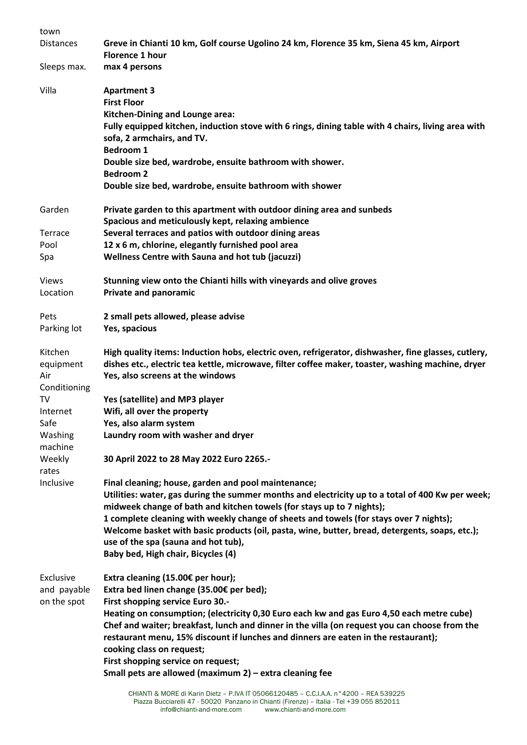| town               |                                                                                                                                                                                                                  |
|--------------------|------------------------------------------------------------------------------------------------------------------------------------------------------------------------------------------------------------------|
| <b>Distances</b>   | Greve in Chianti 10 km, Golf course Ugolino 24 km, Florence 35 km, Siena 45 km, Airport<br><b>Florence 1 hour</b>                                                                                                |
| Sleeps max.        | max 4 persons                                                                                                                                                                                                    |
| Villa              | <b>Apartment 3</b><br><b>First Floor</b><br>Kitchen-Dining and Lounge area:                                                                                                                                      |
|                    | Fully equipped kitchen, induction stove with 6 rings, dining table with 4 chairs, living area with<br>sofa, 2 armchairs, and TV.<br><b>Bedroom 1</b>                                                             |
|                    | Double size bed, wardrobe, ensuite bathroom with shower.<br><b>Bedroom 2</b>                                                                                                                                     |
|                    | Double size bed, wardrobe, ensuite bathroom with shower                                                                                                                                                          |
| Garden             | Private garden to this apartment with outdoor dining area and sunbeds<br>Spacious and meticulously kept, relaxing ambience                                                                                       |
| Terrace            | Several terraces and patios with outdoor dining areas                                                                                                                                                            |
| Pool               | 12 x 6 m, chlorine, elegantly furnished pool area                                                                                                                                                                |
| Spa                | <b>Wellness Centre with Sauna and hot tub (jacuzzi)</b>                                                                                                                                                          |
| <b>Views</b>       | Stunning view onto the Chianti hills with vineyards and olive groves                                                                                                                                             |
| Location           | <b>Private and panoramic</b>                                                                                                                                                                                     |
| Pets               | 2 small pets allowed, please advise                                                                                                                                                                              |
| Parking lot        | Yes, spacious                                                                                                                                                                                                    |
| Kitchen            | High quality items: Induction hobs, electric oven, refrigerator, dishwasher, fine glasses, cutlery,                                                                                                              |
| equipment<br>Air   | dishes etc., electric tea kettle, microwave, filter coffee maker, toaster, washing machine, dryer<br>Yes, also screens at the windows                                                                            |
| Conditioning       |                                                                                                                                                                                                                  |
| TV                 | Yes (satellite) and MP3 player                                                                                                                                                                                   |
| Internet           | Wifi, all over the property                                                                                                                                                                                      |
| Safe               | Yes, also alarm system                                                                                                                                                                                           |
| Washing<br>machine | Laundry room with washer and dryer                                                                                                                                                                               |
| Weekly<br>rates    | 30 April 2022 to 28 May 2022 Euro 2265.-                                                                                                                                                                         |
| Inclusive          | Final cleaning; house, garden and pool maintenance;                                                                                                                                                              |
|                    | Utilities: water, gas during the summer months and electricity up to a total of 400 Kw per week;<br>midweek change of bath and kitchen towels (for stays up to 7 nights);                                        |
|                    | 1 complete cleaning with weekly change of sheets and towels (for stays over 7 nights);<br>Welcome basket with basic products (oil, pasta, wine, butter, bread, detergents, soaps, etc.);                         |
|                    | use of the spa (sauna and hot tub),                                                                                                                                                                              |
|                    | Baby bed, High chair, Bicycles (4)                                                                                                                                                                               |
| Exclusive          | Extra cleaning (15.00€ per hour);                                                                                                                                                                                |
| and payable        | Extra bed linen change (35.00€ per bed);                                                                                                                                                                         |
| on the spot        | First shopping service Euro 30 .-                                                                                                                                                                                |
|                    | Heating on consumption; (electricity 0,30 Euro each kw and gas Euro 4,50 each metre cube)                                                                                                                        |
|                    | Chef and waiter; breakfast, lunch and dinner in the villa (on request you can choose from the<br>restaurant menu, 15% discount if lunches and dinners are eaten in the restaurant);<br>cooking class on request; |
|                    | First shopping service on request;<br>Small pets are allowed (maximum 2) - extra cleaning fee                                                                                                                    |